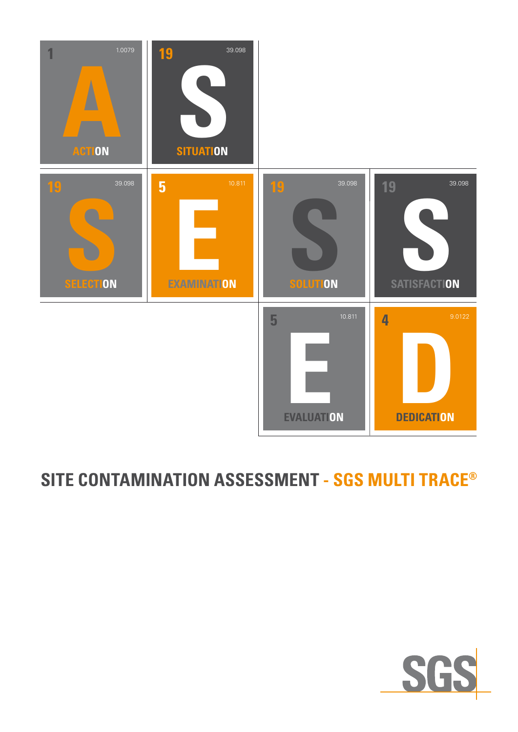

## **SITE CONTAMINATION ASSESSMENT - SGS MULTI TRACE®**